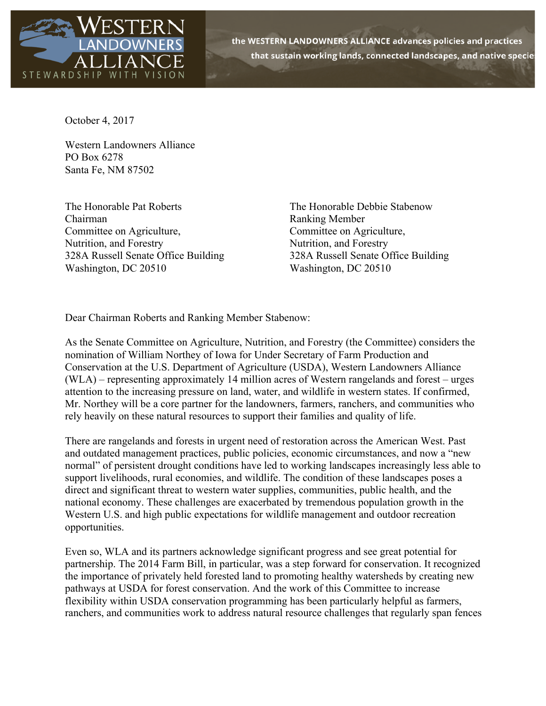

the WESTERN LANDOWNERS ALLIANCE advances policies and practices that sustain working lands, connected landscapes, and native species

October 4, 2017

Western Landowners Alliance PO Box 6278 Santa Fe, NM 87502

The Honorable Pat Roberts The Honorable Debbie Stabenow Chairman Ranking Member Committee on Agriculture, Committee on Agriculture, Nutrition, and Forestry Nutrition, and Forestry 328A Russell Senate Office Building 328A Russell Senate Office Building Washington, DC 20510 Washington, DC 20510

Dear Chairman Roberts and Ranking Member Stabenow:

As the Senate Committee on Agriculture, Nutrition, and Forestry (the Committee) considers the nomination of William Northey of Iowa for Under Secretary of Farm Production and Conservation at the U.S. Department of Agriculture (USDA), Western Landowners Alliance (WLA) – representing approximately 14 million acres of Western rangelands and forest – urges attention to the increasing pressure on land, water, and wildlife in western states. If confirmed, Mr. Northey will be a core partner for the landowners, farmers, ranchers, and communities who rely heavily on these natural resources to support their families and quality of life.

There are rangelands and forests in urgent need of restoration across the American West. Past and outdated management practices, public policies, economic circumstances, and now a "new normal" of persistent drought conditions have led to working landscapes increasingly less able to support livelihoods, rural economies, and wildlife. The condition of these landscapes poses a direct and significant threat to western water supplies, communities, public health, and the national economy. These challenges are exacerbated by tremendous population growth in the Western U.S. and high public expectations for wildlife management and outdoor recreation opportunities.

Even so, WLA and its partners acknowledge significant progress and see great potential for partnership. The 2014 Farm Bill, in particular, was a step forward for conservation. It recognized the importance of privately held forested land to promoting healthy watersheds by creating new pathways at USDA for forest conservation. And the work of this Committee to increase flexibility within USDA conservation programming has been particularly helpful as farmers, ranchers, and communities work to address natural resource challenges that regularly span fences